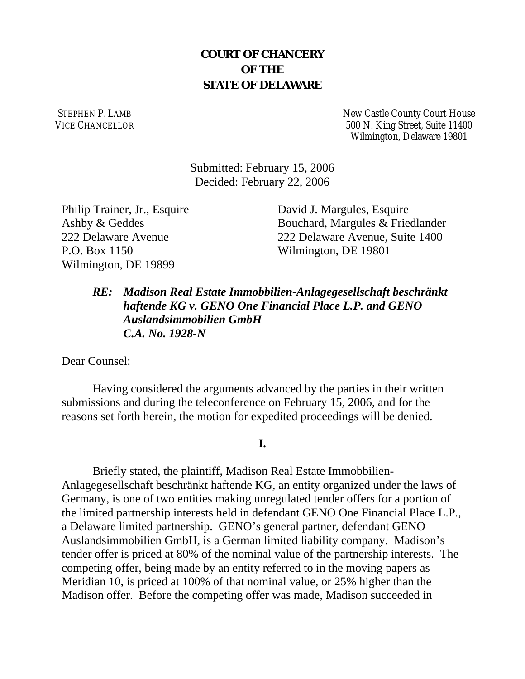## **COURT OF CHANCERY OF THE STATE OF DELAWARE**

STEPHEN P. LAMB VICE CHANCELLOR New Castle County Court House 500 N. King Street, Suite 11400 Wilmington, Delaware 19801

Submitted: February 15, 2006 Decided: February 22, 2006

Philip Trainer, Jr., Esquire Ashby & Geddes 222 Delaware Avenue P.O. Box 1150 Wilmington, DE 19899

David J. Margules, Esquire Bouchard, Margules & Friedlander 222 Delaware Avenue, Suite 1400 Wilmington, DE 19801

*RE: Madison Real Estate Immobbilien-Anlagegesellschaft beschränkt haftende KG v. GENO One Financial Place L.P. and GENO Auslandsimmobilien GmbH C.A. No. 1928-N*

Dear Counsel:

Having considered the arguments advanced by the parties in their written submissions and during the teleconference on February 15, 2006, and for the reasons set forth herein, the motion for expedited proceedings will be denied.

## **I.**

Briefly stated, the plaintiff, Madison Real Estate Immobbilien-Anlagegesellschaft beschränkt haftende KG, an entity organized under the laws of Germany, is one of two entities making unregulated tender offers for a portion of the limited partnership interests held in defendant GENO One Financial Place L.P., a Delaware limited partnership. GENO's general partner, defendant GENO Auslandsimmobilien GmbH, is a German limited liability company. Madison's tender offer is priced at 80% of the nominal value of the partnership interests. The competing offer, being made by an entity referred to in the moving papers as Meridian 10, is priced at 100% of that nominal value, or 25% higher than the Madison offer. Before the competing offer was made, Madison succeeded in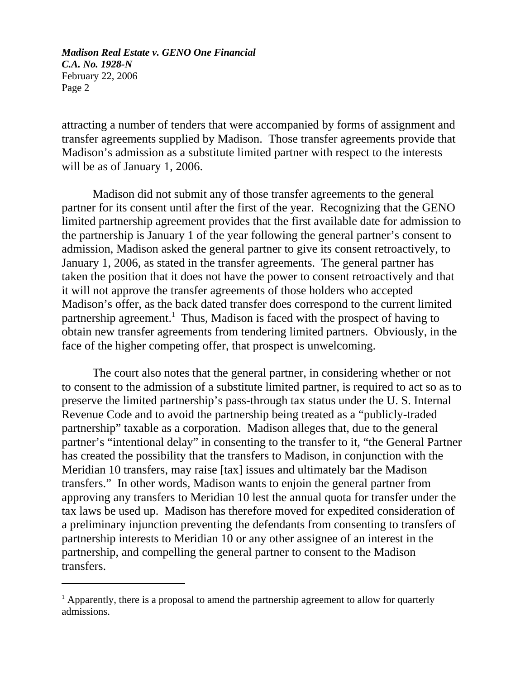attracting a number of tenders that were accompanied by forms of assignment and transfer agreements supplied by Madison. Those transfer agreements provide that Madison's admission as a substitute limited partner with respect to the interests will be as of January 1, 2006.

Madison did not submit any of those transfer agreements to the general partner for its consent until after the first of the year. Recognizing that the GENO limited partnership agreement provides that the first available date for admission to the partnership is January 1 of the year following the general partner's consent to admission, Madison asked the general partner to give its consent retroactively, to January 1, 2006, as stated in the transfer agreements. The general partner has taken the position that it does not have the power to consent retroactively and that it will not approve the transfer agreements of those holders who accepted Madison's offer, as the back dated transfer does correspond to the current limited partnership agreement.<sup>1</sup> Thus, Madison is faced with the prospect of having to obtain new transfer agreements from tendering limited partners. Obviously, in the face of the higher competing offer, that prospect is unwelcoming.

The court also notes that the general partner, in considering whether or not to consent to the admission of a substitute limited partner, is required to act so as to preserve the limited partnership's pass-through tax status under the U. S. Internal Revenue Code and to avoid the partnership being treated as a "publicly-traded partnership" taxable as a corporation. Madison alleges that, due to the general partner's "intentional delay" in consenting to the transfer to it, "the General Partner has created the possibility that the transfers to Madison, in conjunction with the Meridian 10 transfers, may raise [tax] issues and ultimately bar the Madison transfers." In other words, Madison wants to enjoin the general partner from approving any transfers to Meridian 10 lest the annual quota for transfer under the tax laws be used up. Madison has therefore moved for expedited consideration of a preliminary injunction preventing the defendants from consenting to transfers of partnership interests to Meridian 10 or any other assignee of an interest in the partnership, and compelling the general partner to consent to the Madison transfers.

<sup>&</sup>lt;sup>1</sup> Apparently, there is a proposal to amend the partnership agreement to allow for quarterly admissions.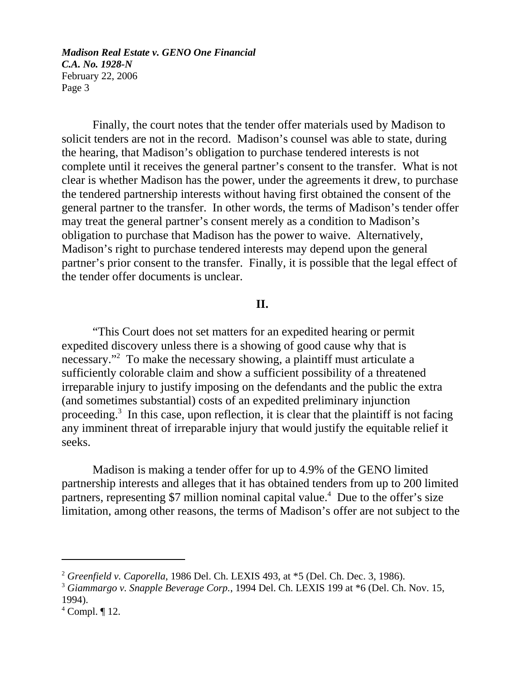Finally, the court notes that the tender offer materials used by Madison to solicit tenders are not in the record. Madison's counsel was able to state, during the hearing, that Madison's obligation to purchase tendered interests is not complete until it receives the general partner's consent to the transfer. What is not clear is whether Madison has the power, under the agreements it drew, to purchase the tendered partnership interests without having first obtained the consent of the general partner to the transfer. In other words, the terms of Madison's tender offer may treat the general partner's consent merely as a condition to Madison's obligation to purchase that Madison has the power to waive. Alternatively, Madison's right to purchase tendered interests may depend upon the general partner's prior consent to the transfer. Finally, it is possible that the legal effect of the tender offer documents is unclear.

## **II.**

"This Court does not set matters for an expedited hearing or permit expedited discovery unless there is a showing of good cause why that is necessary."2 To make the necessary showing, a plaintiff must articulate a sufficiently colorable claim and show a sufficient possibility of a threatened irreparable injury to justify imposing on the defendants and the public the extra (and sometimes substantial) costs of an expedited preliminary injunction proceeding.<sup>3</sup> In this case, upon reflection, it is clear that the plaintiff is not facing any imminent threat of irreparable injury that would justify the equitable relief it seeks.

Madison is making a tender offer for up to 4.9% of the GENO limited partnership interests and alleges that it has obtained tenders from up to 200 limited partners, representing \$7 million nominal capital value.<sup>4</sup> Due to the offer's size limitation, among other reasons, the terms of Madison's offer are not subject to the

<sup>2</sup> *Greenfield v. Caporella*, 1986 Del. Ch. LEXIS 493, at \*5 (Del. Ch. Dec. 3, 1986).

<sup>3</sup> *Giammargo v. Snapple Beverage Corp.*, 1994 Del. Ch. LEXIS 199 at \*6 (Del. Ch. Nov. 15, 1994).

 $4$  Compl.  $\P$  12.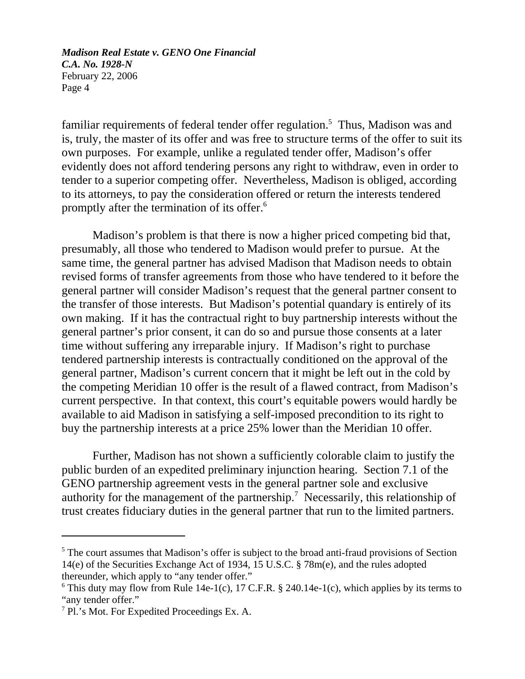familiar requirements of federal tender offer regulation.<sup>5</sup> Thus, Madison was and is, truly, the master of its offer and was free to structure terms of the offer to suit its own purposes. For example, unlike a regulated tender offer, Madison's offer evidently does not afford tendering persons any right to withdraw, even in order to tender to a superior competing offer. Nevertheless, Madison is obliged, according to its attorneys, to pay the consideration offered or return the interests tendered promptly after the termination of its offer.6

Madison's problem is that there is now a higher priced competing bid that, presumably, all those who tendered to Madison would prefer to pursue. At the same time, the general partner has advised Madison that Madison needs to obtain revised forms of transfer agreements from those who have tendered to it before the general partner will consider Madison's request that the general partner consent to the transfer of those interests. But Madison's potential quandary is entirely of its own making. If it has the contractual right to buy partnership interests without the general partner's prior consent, it can do so and pursue those consents at a later time without suffering any irreparable injury. If Madison's right to purchase tendered partnership interests is contractually conditioned on the approval of the general partner, Madison's current concern that it might be left out in the cold by the competing Meridian 10 offer is the result of a flawed contract, from Madison's current perspective. In that context, this court's equitable powers would hardly be available to aid Madison in satisfying a self-imposed precondition to its right to buy the partnership interests at a price 25% lower than the Meridian 10 offer.

Further, Madison has not shown a sufficiently colorable claim to justify the public burden of an expedited preliminary injunction hearing. Section 7.1 of the GENO partnership agreement vests in the general partner sole and exclusive authority for the management of the partnership.<sup>7</sup> Necessarily, this relationship of trust creates fiduciary duties in the general partner that run to the limited partners.

<sup>&</sup>lt;sup>5</sup> The court assumes that Madison's offer is subject to the broad anti-fraud provisions of Section 14(e) of the Securities Exchange Act of 1934, 15 U.S.C. § 78m(e), and the rules adopted thereunder, which apply to "any tender offer."

<sup>&</sup>lt;sup>6</sup> This duty may flow from Rule 14e-1(c), 17 C.F.R. § 240.14e-1(c), which applies by its terms to "any tender offer."

<sup>&</sup>lt;sup>7</sup> Pl.'s Mot. For Expedited Proceedings Ex. A.